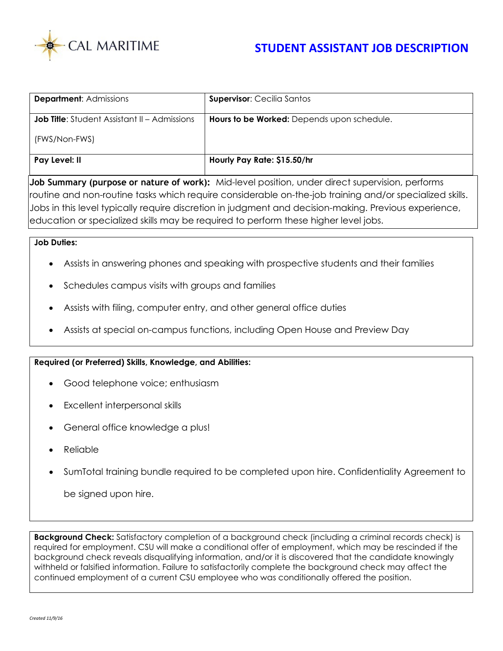

| <b>Department: Admissions</b>                       | <b>Supervisor: Cecilia Santos</b>          |
|-----------------------------------------------------|--------------------------------------------|
| <b>Job Title:</b> Student Assistant II – Admissions | Hours to be Worked: Depends upon schedule. |
| (FWS/Non-FWS)                                       |                                            |
| Pay Level: II                                       | Hourly Pay Rate: \$15.50/hr                |

**Job Summary (purpose or nature of work):** Mid-level position, under direct supervision, performs routine and non-routine tasks which require considerable on-the-job training and/or specialized skills. Jobs in this level typically require discretion in judgment and decision-making. Previous experience, education or specialized skills may be required to perform these higher level jobs.

## **Job Duties:**

- Assists in answering phones and speaking with prospective students and their families
- Schedules campus visits with groups and families
- Assists with filing, computer entry, and other general office duties
- Assists at special on-campus functions, including Open House and Preview Day

## **Required (or Preferred) Skills, Knowledge, and Abilities:**

- Good telephone voice; enthusiasm
- Excellent interpersonal skills
- General office knowledge a plus!
- Reliable
- SumTotal training bundle required to be completed upon hire. Confidentiality Agreement to

be signed upon hire.

**Background Check:** Satisfactory completion of a background check (including a criminal records check) is required for employment. CSU will make a conditional offer of employment, which may be rescinded if the background check reveals disqualifying information, and/or it is discovered that the candidate knowingly withheld or falsified information. Failure to satisfactorily complete the background check may affect the continued employment of a current CSU employee who was conditionally offered the position.